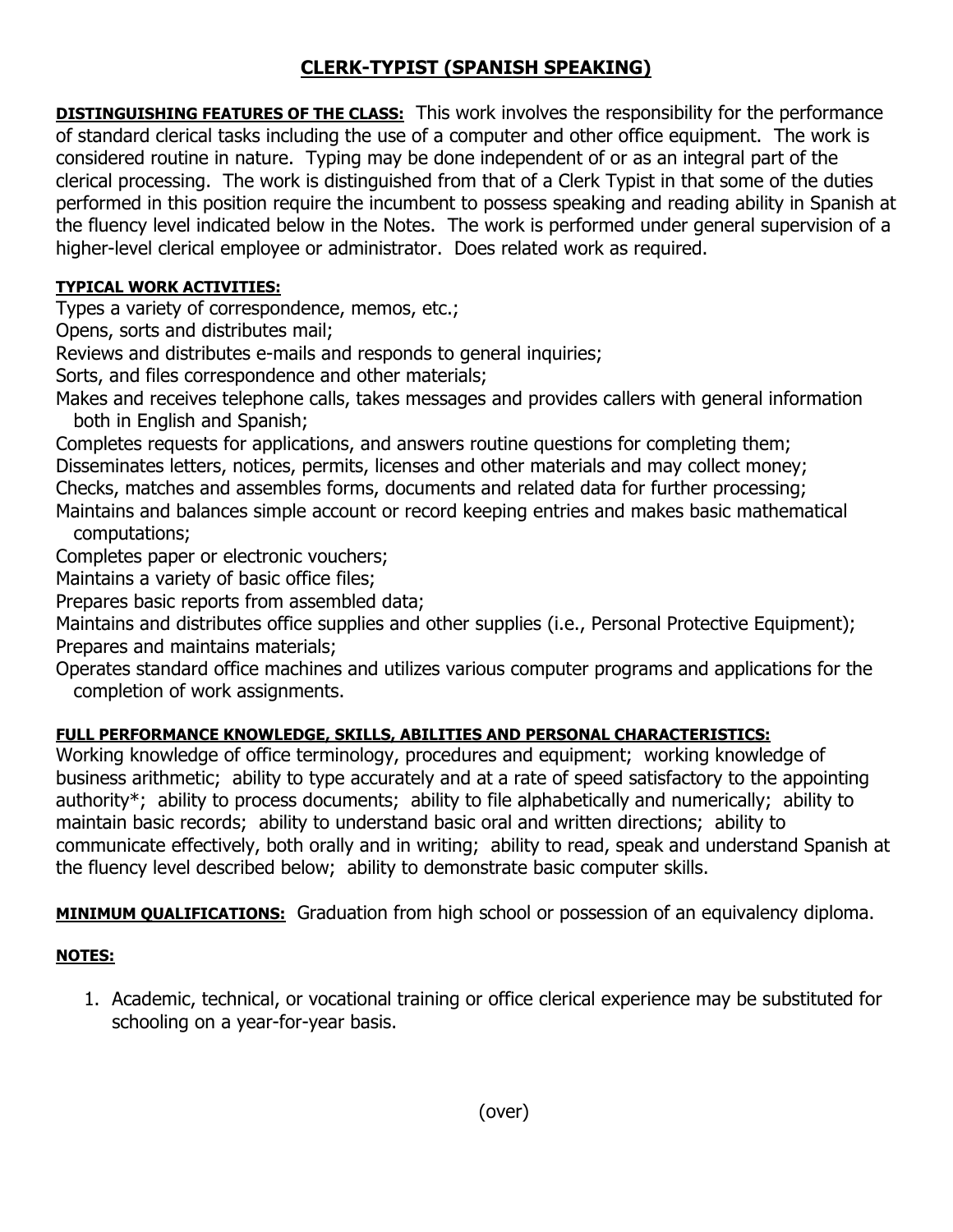## **CLERK-TYPIST (SPANISH SPEAKING)**

**DISTINGUISHING FEATURES OF THE CLASS:** This work involves the responsibility for the performance of standard clerical tasks including the use of a computer and other office equipment. The work is considered routine in nature. Typing may be done independent of or as an integral part of the clerical processing. The work is distinguished from that of a Clerk Typist in that some of the duties performed in this position require the incumbent to possess speaking and reading ability in Spanish at the fluency level indicated below in the Notes. The work is performed under general supervision of a higher-level clerical employee or administrator. Does related work as required.

## **TYPICAL WORK ACTIVITIES:**

Types a variety of correspondence, memos, etc.;

Opens, sorts and distributes mail;

Reviews and distributes e-mails and responds to general inquiries;

Sorts, and files correspondence and other materials;

Makes and receives telephone calls, takes messages and provides callers with general information both in English and Spanish;

Completes requests for applications, and answers routine questions for completing them; Disseminates letters, notices, permits, licenses and other materials and may collect money; Checks, matches and assembles forms, documents and related data for further processing;

Maintains and balances simple account or record keeping entries and makes basic mathematical computations;

Completes paper or electronic vouchers;

Maintains a variety of basic office files;

Prepares basic reports from assembled data;

Maintains and distributes office supplies and other supplies (i.e., Personal Protective Equipment); Prepares and maintains materials;

Operates standard office machines and utilizes various computer programs and applications for the completion of work assignments.

## **FULL PERFORMANCE KNOWLEDGE, SKILLS, ABILITIES AND PERSONAL CHARACTERISTICS:**

Working knowledge of office terminology, procedures and equipment; working knowledge of business arithmetic; ability to type accurately and at a rate of speed satisfactory to the appointing authority\*; ability to process documents; ability to file alphabetically and numerically; ability to maintain basic records; ability to understand basic oral and written directions; ability to communicate effectively, both orally and in writing; ability to read, speak and understand Spanish at the fluency level described below; ability to demonstrate basic computer skills.

**MINIMUM QUALIFICATIONS:** Graduation from high school or possession of an equivalency diploma.

## **NOTES:**

1. Academic, technical, or vocational training or office clerical experience may be substituted for schooling on a year-for-year basis.